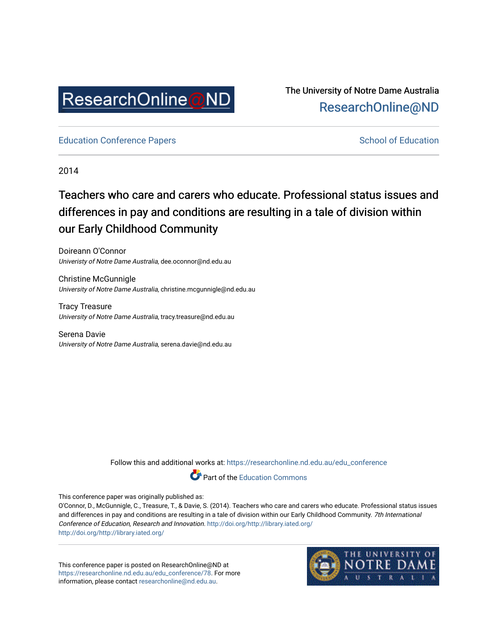

The University of Notre Dame Australia [ResearchOnline@ND](https://researchonline.nd.edu.au/) 

[Education Conference Papers](https://researchonline.nd.edu.au/edu_conference) **School of Education** School of Education

2014

# Teachers who care and carers who educate. Professional status issues and differences in pay and conditions are resulting in a tale of division within our Early Childhood Community

Doireann O'Connor Univeristy of Notre Dame Australia, dee.oconnor@nd.edu.au

Christine McGunnigle University of Notre Dame Australia, christine.mcgunnigle@nd.edu.au

Tracy Treasure University of Notre Dame Australia, tracy.treasure@nd.edu.au

Serena Davie University of Notre Dame Australia, serena.davie@nd.edu.au

Follow this and additional works at: [https://researchonline.nd.edu.au/edu\\_conference](https://researchonline.nd.edu.au/edu_conference?utm_source=researchonline.nd.edu.au%2Fedu_conference%2F78&utm_medium=PDF&utm_campaign=PDFCoverPages)



This conference paper was originally published as:

O'Connor, D., McGunnigle, C., Treasure, T., & Davie, S. (2014). Teachers who care and carers who educate. Professional status issues and differences in pay and conditions are resulting in a tale of division within our Early Childhood Community. 7th International Conference of Education, Research and Innovation. <http://doi.org/http://library.iated.org/> <http://doi.org/http://library.iated.org/>

This conference paper is posted on ResearchOnline@ND at [https://researchonline.nd.edu.au/edu\\_conference/78.](https://researchonline.nd.edu.au/edu_conference/78) For more information, please contact [researchonline@nd.edu.au.](mailto:researchonline@nd.edu.au)

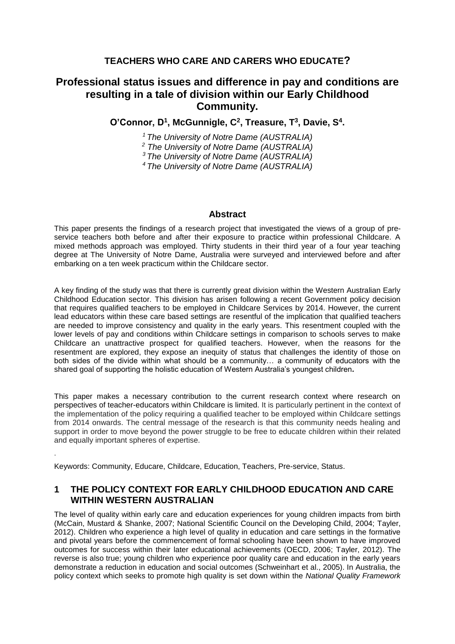# **TEACHERS WHO CARE AND CARERS WHO EDUCATE?**

# **Professional status issues and difference in pay and conditions are resulting in a tale of division within our Early Childhood Community.**

**O'Connor, D<sup>1</sup> , McGunnigle, C<sup>2</sup> , Treasure, T<sup>3</sup> , Davie, S<sup>4</sup> .**

*<sup>1</sup> The University of Notre Dame (AUSTRALIA)* 

*<sup>2</sup> The University of Notre Dame (AUSTRALIA)* 

*<sup>3</sup>The University of Notre Dame (AUSTRALIA)* 

*<sup>4</sup>The University of Notre Dame (AUSTRALIA)* 

#### **Abstract**

This paper presents the findings of a research project that investigated the views of a group of preservice teachers both before and after their exposure to practice within professional Childcare. A mixed methods approach was employed. Thirty students in their third year of a four year teaching degree at The University of Notre Dame, Australia were surveyed and interviewed before and after embarking on a ten week practicum within the Childcare sector.

A key finding of the study was that there is currently great division within the Western Australian Early Childhood Education sector. This division has arisen following a recent Government policy decision that requires qualified teachers to be employed in Childcare Services by 2014. However, the current lead educators within these care based settings are resentful of the implication that qualified teachers are needed to improve consistency and quality in the early years. This resentment coupled with the lower levels of pay and conditions within Childcare settings in comparison to schools serves to make Childcare an unattractive prospect for qualified teachers. However, when the reasons for the resentment are explored, they expose an inequity of status that challenges the identity of those on both sides of the divide within what should be a community… a community of educators with the shared goal of supporting the holistic education of Western Australia's youngest children*.*

This paper makes a necessary contribution to the current research context where research on perspectives of teacher-educators within Childcare is limited. It is particularly pertinent in the context of the implementation of the policy requiring a qualified teacher to be employed within Childcare settings from 2014 onwards. The central message of the research is that this community needs healing and support in order to move beyond the power struggle to be free to educate children within their related and equally important spheres of expertise.

Keywords: Community, Educare, Childcare, Education, Teachers, Pre-service, Status.

.

# **1 THE POLICY CONTEXT FOR EARLY CHILDHOOD EDUCATION AND CARE WITHIN WESTERN AUSTRALIAN**

The level of quality within early care and education experiences for young children impacts from birth (McCain, Mustard & Shanke, 2007; National Scientific Council on the Developing Child, 2004; Tayler, 2012). Children who experience a high level of quality in education and care settings in the formative and pivotal years before the commencement of formal schooling have been shown to have improved outcomes for success within their later educational achievements (OECD, 2006; Tayler, 2012). The reverse is also true; young children who experience poor quality care and education in the early years demonstrate a reduction in education and social outcomes (Schweinhart et al., 2005). In Australia, the policy context which seeks to promote high quality is set down within the *National Quality Framework*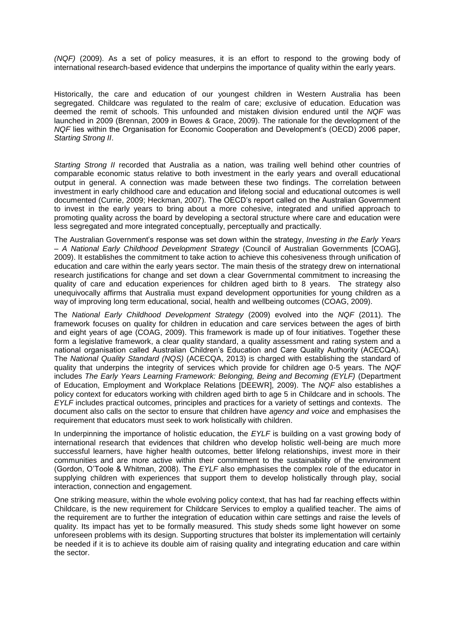*(NQF)* (2009). As a set of policy measures, it is an effort to respond to the growing body of international research-based evidence that underpins the importance of quality within the early years.

Historically, the care and education of our youngest children in Western Australia has been segregated. Childcare was regulated to the realm of care; exclusive of education. Education was deemed the remit of schools. This unfounded and mistaken division endured until the *NQF* was launched in 2009 (Brennan, 2009 in Bowes & Grace, 2009). The rationale for the development of the *NQF* lies within the Organisation for Economic Cooperation and Development's (OECD) 2006 paper, *Starting Strong II*.

*Starting Strong II* recorded that Australia as a nation, was trailing well behind other countries of comparable economic status relative to both investment in the early years and overall educational output in general. A connection was made between these two findings. The correlation between investment in early childhood care and education and lifelong social and educational outcomes is well documented (Currie, 2009; Heckman, 2007). The OECD's report called on the Australian Government to invest in the early years to bring about a more cohesive, integrated and unified approach to promoting quality across the board by developing a sectoral structure where care and education were less segregated and more integrated conceptually, perceptually and practically.

The Australian Government's response was set down within the strategy, *Investing in the Early Years – A National Early Childhood Development Strategy* (Council of Australian Governments [COAG], 2009). It establishes the commitment to take action to achieve this cohesiveness through unification of education and care within the early years sector. The main thesis of the strategy drew on international research justifications for change and set down a clear Governmental commitment to increasing the quality of care and education experiences for children aged birth to 8 years. The strategy also unequivocally affirms that Australia must expand development opportunities for young children as a way of improving long term educational, social, health and wellbeing outcomes (COAG, 2009).

The *National Early Childhood Development Strategy* (2009) evolved into the *NQF* (2011). The framework focuses on quality for children in education and care services between the ages of birth and eight years of age (COAG, 2009). This framework is made up of four initiatives. Together these form a legislative framework, a clear quality standard, a quality assessment and rating system and a national organisation called Australian Children's Education and Care Quality Authority (ACECQA). The *National Quality Standard (NQS)* (ACECQA, 2013) is charged with establishing the standard of quality that underpins the integrity of services which provide for children age 0-5 years. The *NQF*  includes *The Early Years Learning Framework: Belonging, Being and Becoming (EYLF)* (Department of Education, Employment and Workplace Relations [DEEWR], 2009). The *NQF* also establishes a policy context for educators working with children aged birth to age 5 in Childcare and in schools. The *EYLF* includes practical outcomes, principles and practices for a variety of settings and contexts. The document also calls on the sector to ensure that children have *agency and voice* and emphasises the requirement that educators must seek to work holistically with children.

In underpinning the importance of holistic education, the *EYLF* is building on a vast growing body of international research that evidences that children who develop holistic well-being are much more successful learners, have higher health outcomes, better lifelong relationships, invest more in their communities and are more active within their commitment to the sustainability of the environment (Gordon, O'Toole & Whitman, 2008). The *EYLF* also emphasises the complex role of the educator in supplying children with experiences that support them to develop holistically through play, social interaction, connection and engagement.

One striking measure, within the whole evolving policy context, that has had far reaching effects within Childcare, is the new requirement for Childcare Services to employ a qualified teacher. The aims of the requirement are to further the integration of education within care settings and raise the levels of quality. Its impact has yet to be formally measured. This study sheds some light however on some unforeseen problems with its design. Supporting structures that bolster its implementation will certainly be needed if it is to achieve its double aim of raising quality and integrating education and care within the sector.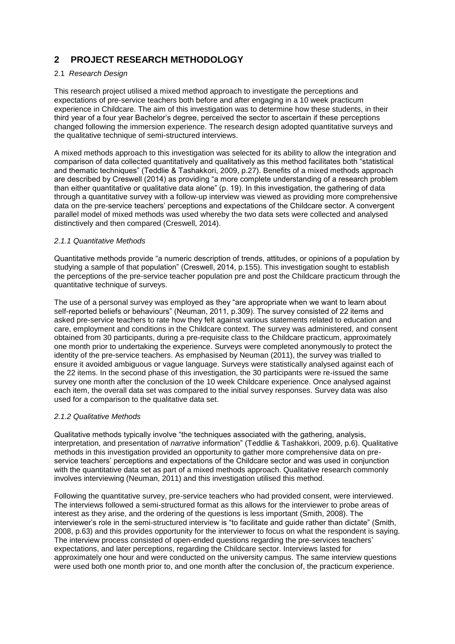# **2 PROJECT RESEARCH METHODOLOGY**

#### 2.1 *Research Design*

This research project utilised a mixed method approach to investigate the perceptions and expectations of pre-service teachers both before and after engaging in a 10 week practicum experience in Childcare. The aim of this investigation was to determine how these students, in their third year of a four year Bachelor's degree, perceived the sector to ascertain if these perceptions changed following the immersion experience. The research design adopted quantitative surveys and the qualitative technique of semi-structured interviews.

A mixed methods approach to this investigation was selected for its ability to allow the integration and comparison of data collected quantitatively and qualitatively as this method facilitates both "statistical and thematic techniques" (Teddlie & Tashakkori, 2009, p.27). Benefits of a mixed methods approach are described by Creswell (2014) as providing "a more complete understanding of a research problem than either quantitative or qualitative data alone" (p. 19). In this investigation, the gathering of data through a quantitative survey with a follow-up interview was viewed as providing more comprehensive data on the pre-service teachers' perceptions and expectations of the Childcare sector. A convergent parallel model of mixed methods was used whereby the two data sets were collected and analysed distinctively and then compared (Creswell, 2014).

#### *2.1.1 Quantitative Methods*

Quantitative methods provide "a numeric description of trends, attitudes, or opinions of a population by studying a sample of that population" (Creswell, 2014, p.155). This investigation sought to establish the perceptions of the pre-service teacher population pre and post the Childcare practicum through the quantitative technique of surveys.

The use of a personal survey was employed as they "are appropriate when we want to learn about self-reported beliefs or behaviours" (Neuman, 2011, p.309). The survey consisted of 22 items and asked pre-service teachers to rate how they felt against various statements related to education and care, employment and conditions in the Childcare context. The survey was administered, and consent obtained from 30 participants, during a pre-requisite class to the Childcare practicum, approximately one month prior to undertaking the experience. Surveys were completed anonymously to protect the identity of the pre-service teachers. As emphasised by Neuman (2011), the survey was trialled to ensure it avoided ambiguous or vague language. Surveys were statistically analysed against each of the 22 items. In the second phase of this investigation, the 30 participants were re-issued the same survey one month after the conclusion of the 10 week Childcare experience. Once analysed against each item, the overall data set was compared to the initial survey responses. Survey data was also used for a comparison to the qualitative data set.

#### *2.1.2 Qualitative Methods*

Qualitative methods typically involve "the techniques associated with the gathering, analysis, interpretation, and presentation of *narrative* information" (Teddlie & Tashakkori, 2009, p.6). Qualitative methods in this investigation provided an opportunity to gather more comprehensive data on preservice teachers' perceptions and expectations of the Childcare sector and was used in conjunction with the quantitative data set as part of a mixed methods approach. Qualitative research commonly involves interviewing (Neuman, 2011) and this investigation utilised this method.

Following the quantitative survey, pre-service teachers who had provided consent, were interviewed. The interviews followed a semi-structured format as this allows for the interviewer to probe areas of interest as they arise, and the ordering of the questions is less important (Smith, 2008). The interviewer's role in the semi-structured interview is "to facilitate and guide rather than dictate" (Smith, 2008, p.63) and this provides opportunity for the interviewer to focus on what the respondent is saying. The interview process consisted of open-ended questions regarding the pre-services teachers' expectations, and later perceptions, regarding the Childcare sector. Interviews lasted for approximately one hour and were conducted on the university campus. The same interview questions were used both one month prior to, and one month after the conclusion of, the practicum experience.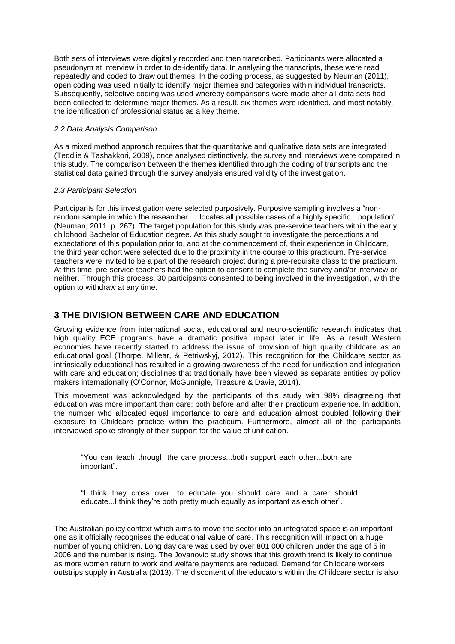Both sets of interviews were digitally recorded and then transcribed. Participants were allocated a pseudonym at interview in order to de-identify data. In analysing the transcripts, these were read repeatedly and coded to draw out themes. In the coding process, as suggested by Neuman (2011), open coding was used initially to identify major themes and categories within individual transcripts. Subsequently, selective coding was used whereby comparisons were made after all data sets had been collected to determine major themes. As a result, six themes were identified, and most notably, the identification of professional status as a key theme.

#### *2.2 Data Analysis Comparison*

As a mixed method approach requires that the quantitative and qualitative data sets are integrated (Teddlie & Tashakkori, 2009), once analysed distinctively, the survey and interviews were compared in this study. The comparison between the themes identified through the coding of transcripts and the statistical data gained through the survey analysis ensured validity of the investigation.

#### *2.3 Participant Selection*

Participants for this investigation were selected purposively. Purposive sampling involves a "nonrandom sample in which the researcher … locates all possible cases of a highly specific…population" (Neuman, 2011, p. 267). The target population for this study was pre-service teachers within the early childhood Bachelor of Education degree. As this study sought to investigate the perceptions and expectations of this population prior to, and at the commencement of, their experience in Childcare, the third year cohort were selected due to the proximity in the course to this practicum. Pre-service teachers were invited to be a part of the research project during a pre-requisite class to the practicum. At this time, pre-service teachers had the option to consent to complete the survey and/or interview or neither. Through this process, 30 participants consented to being involved in the investigation, with the option to withdraw at any time.

### **3 THE DIVISION BETWEEN CARE AND EDUCATION**

Growing evidence from international social, educational and neuro-scientific research indicates that high quality ECE programs have a dramatic positive impact later in life. As a result Western economies have recently started to address the issue of provision of high quality childcare as an educational goal (Thorpe, Millear, & Petriwskyj, 2012). This recognition for the Childcare sector as intrinsically educational has resulted in a growing awareness of the need for unification and integration with care and education; disciplines that traditionally have been viewed as separate entities by policy makers internationally (O'Connor, McGunnigle, Treasure & Davie, 2014).

This movement was acknowledged by the participants of this study with 98% disagreeing that education was more important than care; both before and after their practicum experience. In addition, the number who allocated equal importance to care and education almost doubled following their exposure to Childcare practice within the practicum. Furthermore, almost all of the participants interviewed spoke strongly of their support for the value of unification.

"You can teach through the care process...both support each other...both are important".

"I think they cross over…to educate you should care and a carer should educate...I think they're both pretty much equally as important as each other".

The Australian policy context which aims to move the sector into an integrated space is an important one as it officially recognises the educational value of care. This recognition will impact on a huge number of young children. Long day care was used by over 801 000 children under the age of 5 in 2006 and the number is rising. The Jovanovic study shows that this growth trend is likely to continue as more women return to work and welfare payments are reduced. Demand for Childcare workers outstrips supply in Australia (2013). The discontent of the educators within the Childcare sector is also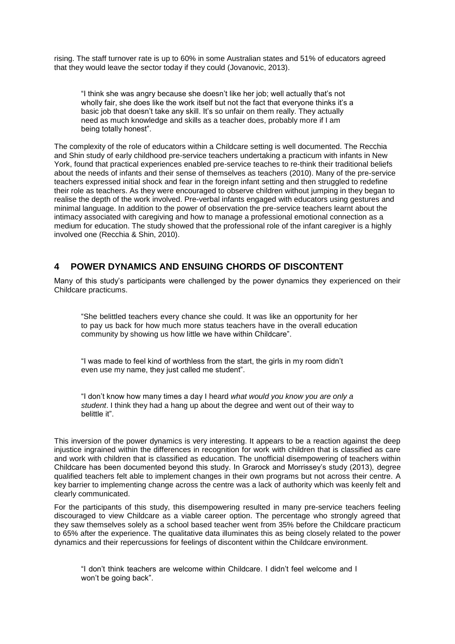rising. The staff turnover rate is up to 60% in some Australian states and 51% of educators agreed that they would leave the sector today if they could (Jovanovic, 2013).

"I think she was angry because she doesn't like her job; well actually that's not wholly fair, she does like the work itself but not the fact that everyone thinks it's a basic job that doesn't take any skill. It's so unfair on them really. They actually need as much knowledge and skills as a teacher does, probably more if I am being totally honest".

The complexity of the role of educators within a Childcare setting is well documented. The Recchia and Shin study of early childhood pre-service teachers undertaking a practicum with infants in New York, found that practical experiences enabled pre-service teaches to re-think their traditional beliefs about the needs of infants and their sense of themselves as teachers (2010). Many of the pre-service teachers expressed initial shock and fear in the foreign infant setting and then struggled to redefine their role as teachers. As they were encouraged to observe children without jumping in they began to realise the depth of the work involved. Pre-verbal infants engaged with educators using gestures and minimal language. In addition to the power of observation the pre-service teachers learnt about the intimacy associated with caregiving and how to manage a professional emotional connection as a medium for education. The study showed that the professional role of the infant caregiver is a highly involved one (Recchia & Shin, 2010).

#### **4 POWER DYNAMICS AND ENSUING CHORDS OF DISCONTENT**

Many of this study's participants were challenged by the power dynamics they experienced on their Childcare practicums.

"She belittled teachers every chance she could. It was like an opportunity for her to pay us back for how much more status teachers have in the overall education community by showing us how little we have within Childcare".

"I was made to feel kind of worthless from the start, the girls in my room didn't even use my name, they just called me student".

"I don't know how many times a day I heard *what would you know you are only a student*. I think they had a hang up about the degree and went out of their way to belittle it".

This inversion of the power dynamics is very interesting. It appears to be a reaction against the deep injustice ingrained within the differences in recognition for work with children that is classified as care and work with children that is classified as education. The unofficial disempowering of teachers within Childcare has been documented beyond this study. In Grarock and Morrissey's study (2013), degree qualified teachers felt able to implement changes in their own programs but not across their centre. A key barrier to implementing change across the centre was a lack of authority which was keenly felt and clearly communicated.

For the participants of this study, this disempowering resulted in many pre-service teachers feeling discouraged to view Childcare as a viable career option. The percentage who strongly agreed that they saw themselves solely as a school based teacher went from 35% before the Childcare practicum to 65% after the experience. The qualitative data illuminates this as being closely related to the power dynamics and their repercussions for feelings of discontent within the Childcare environment.

"I don't think teachers are welcome within Childcare. I didn't feel welcome and I won't be going back".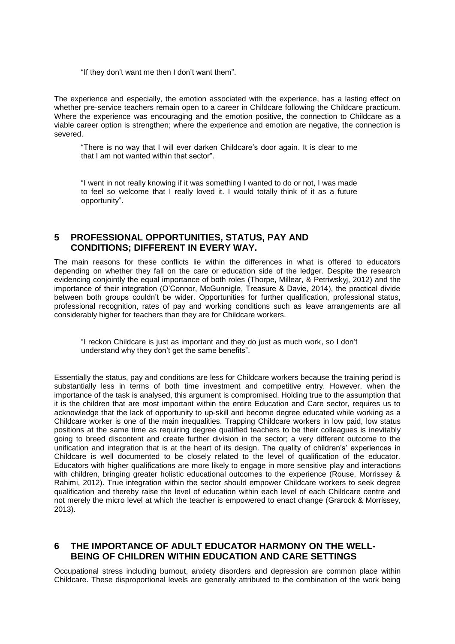"If they don't want me then I don't want them".

The experience and especially, the emotion associated with the experience, has a lasting effect on whether pre-service teachers remain open to a career in Childcare following the Childcare practicum. Where the experience was encouraging and the emotion positive, the connection to Childcare as a viable career option is strengthen; where the experience and emotion are negative, the connection is severed.

"There is no way that I will ever darken Childcare's door again. It is clear to me that I am not wanted within that sector".

"I went in not really knowing if it was something I wanted to do or not, I was made to feel so welcome that I really loved it. I would totally think of it as a future opportunity".

## **5 PROFESSIONAL OPPORTUNITIES, STATUS, PAY AND CONDITIONS; DIFFERENT IN EVERY WAY.**

The main reasons for these conflicts lie within the differences in what is offered to educators depending on whether they fall on the care or education side of the ledger. Despite the research evidencing conjointly the equal importance of both roles (Thorpe, Millear, & Petriwskyj, 2012) and the importance of their integration (O'Connor, McGunnigle, Treasure & Davie, 2014), the practical divide between both groups couldn't be wider. Opportunities for further qualification, professional status, professional recognition, rates of pay and working conditions such as leave arrangements are all considerably higher for teachers than they are for Childcare workers.

"I reckon Childcare is just as important and they do just as much work, so I don't understand why they don't get the same benefits".

Essentially the status, pay and conditions are less for Childcare workers because the training period is substantially less in terms of both time investment and competitive entry. However, when the importance of the task is analysed, this argument is compromised. Holding true to the assumption that it is the children that are most important within the entire Education and Care sector, requires us to acknowledge that the lack of opportunity to up-skill and become degree educated while working as a Childcare worker is one of the main inequalities. Trapping Childcare workers in low paid, low status positions at the same time as requiring degree qualified teachers to be their colleagues is inevitably going to breed discontent and create further division in the sector; a very different outcome to the unification and integration that is at the heart of its design. The quality of children's' experiences in Childcare is well documented to be closely related to the level of qualification of the educator. Educators with higher qualifications are more likely to engage in more sensitive play and interactions with children, bringing greater holistic educational outcomes to the experience (Rouse, Morrissey & Rahimi, 2012). True integration within the sector should empower Childcare workers to seek degree qualification and thereby raise the level of education within each level of each Childcare centre and not merely the micro level at which the teacher is empowered to enact change (Grarock & Morrissey, 2013).

#### **6 THE IMPORTANCE OF ADULT EDUCATOR HARMONY ON THE WELL-BEING OF CHILDREN WITHIN EDUCATION AND CARE SETTINGS**

Occupational stress including burnout, anxiety disorders and depression are common place within Childcare. These disproportional levels are generally attributed to the combination of the work being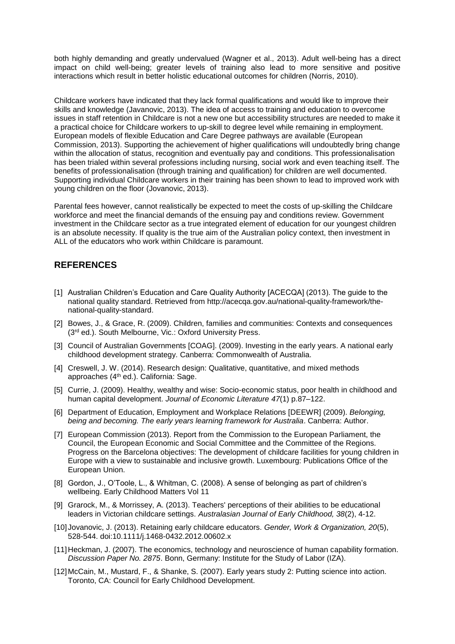both highly demanding and greatly undervalued (Wagner et al., 2013). Adult well-being has a direct impact on child well-being; greater levels of training also lead to more sensitive and positive interactions which result in better holistic educational outcomes for children (Norris, 2010).

Childcare workers have indicated that they lack formal qualifications and would like to improve their skills and knowledge (Javanovic, 2013). The idea of access to training and education to overcome issues in staff retention in Childcare is not a new one but accessibility structures are needed to make it a practical choice for Childcare workers to up-skill to degree level while remaining in employment. European models of flexible Education and Care Degree pathways are available (European Commission, 2013). Supporting the achievement of higher qualifications will undoubtedly bring change within the allocation of status, recognition and eventually pay and conditions. This professionalisation has been trialed within several professions including nursing, social work and even teaching itself. The benefits of professionalisation (through training and qualification) for children are well documented. Supporting individual Childcare workers in their training has been shown to lead to improved work with young children on the floor (Jovanovic, 2013).

Parental fees however, cannot realistically be expected to meet the costs of up-skilling the Childcare workforce and meet the financial demands of the ensuing pay and conditions review. Government investment in the Childcare sector as a true integrated element of education for our youngest children is an absolute necessity. If quality is the true aim of the Australian policy context, then investment in ALL of the educators who work within Childcare is paramount.

# **REFERENCES**

- [1] Australian Children's Education and Care Quality Authority [ACECQA] (2013). The guide to the national quality standard. Retrieved from http://acecqa.gov.au/national-quality-framework/thenational-quality-standard.
- [2] Bowes, J., & Grace, R. (2009). Children, families and communities: Contexts and consequences (3rd ed.). South Melbourne, Vic.: Oxford University Press.
- [3] Council of Australian Governments [COAG]. (2009). Investing in the early years. A national early childhood development strategy. Canberra: Commonwealth of Australia.
- [4] Creswell, J. W. (2014). Research design: Qualitative, quantitative, and mixed methods approaches (4th ed.). California: Sage.
- [5] Currie, J. (2009). Healthy, wealthy and wise: Socio-economic status, poor health in childhood and human capital development. *Journal of Economic Literature 47*(1) p.87–122.
- [6] Department of Education, Employment and Workplace Relations [DEEWR] (2009). *Belonging, being and becoming. The early years learning framework for Australia*. Canberra: Author.
- [7] European Commission (2013). Report from the Commission to the European Parliament, the Council, the European Economic and Social Committee and the Committee of the Regions. Progress on the Barcelona objectives: The development of childcare facilities for young children in Europe with a view to sustainable and inclusive growth. Luxembourg: Publications Office of the European Union.
- [8] Gordon, J., O'Toole, L., & Whitman, C. (2008). A sense of belonging as part of children's wellbeing. Early Childhood Matters Vol 11
- [9] Grarock, M., & Morrissey, A. (2013). Teachers' perceptions of their abilities to be educational leaders in Victorian childcare settings. *Australasian Journal of Early Childhood, 38*(2), 4-12.
- [10] Jovanovic, J. (2013). Retaining early childcare educators. *Gender, Work & Organization, 20*(5), 528-544. doi:10.1111/j.1468-0432.2012.00602.x
- [11]Heckman, J. (2007). The economics, technology and neuroscience of human capability formation. *Discussion Paper No. 2875*. Bonn, Germany: Institute for the Study of Labor (IZA).
- [12] McCain, M., Mustard, F., & Shanke, S. (2007). Early years study 2: Putting science into action. Toronto, CA: Council for Early Childhood Development.